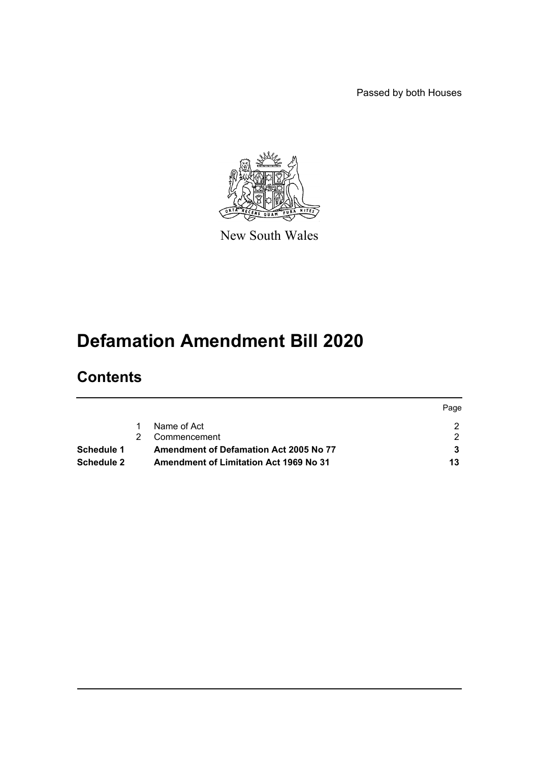Passed by both Houses



New South Wales

# **Defamation Amendment Bill 2020**

# **Contents**

|            |                                               | Page |
|------------|-----------------------------------------------|------|
|            | Name of Act                                   |      |
|            | Commencement                                  |      |
| Schedule 1 | Amendment of Defamation Act 2005 No 77        |      |
| Schedule 2 | <b>Amendment of Limitation Act 1969 No 31</b> | 13   |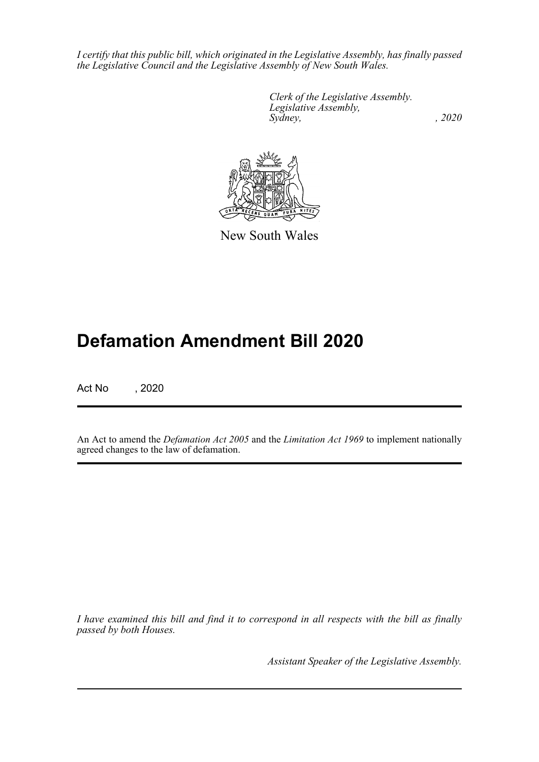*I certify that this public bill, which originated in the Legislative Assembly, has finally passed the Legislative Council and the Legislative Assembly of New South Wales.*

> *Clerk of the Legislative Assembly. Legislative Assembly, Sydney, , 2020*



New South Wales

# **Defamation Amendment Bill 2020**

Act No , 2020

An Act to amend the *Defamation Act 2005* and the *Limitation Act 1969* to implement nationally agreed changes to the law of defamation.

*I have examined this bill and find it to correspond in all respects with the bill as finally passed by both Houses.*

*Assistant Speaker of the Legislative Assembly.*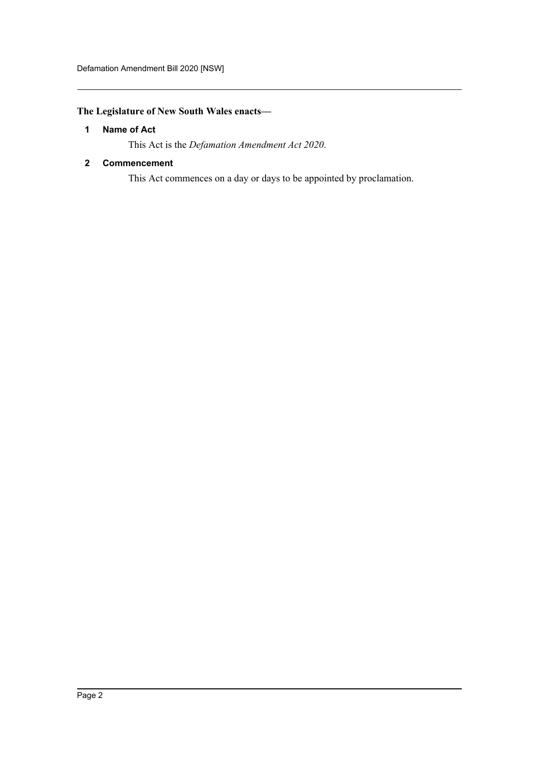# <span id="page-2-0"></span>**The Legislature of New South Wales enacts—**

# **1 Name of Act**

This Act is the *Defamation Amendment Act 2020*.

# <span id="page-2-1"></span>**2 Commencement**

This Act commences on a day or days to be appointed by proclamation.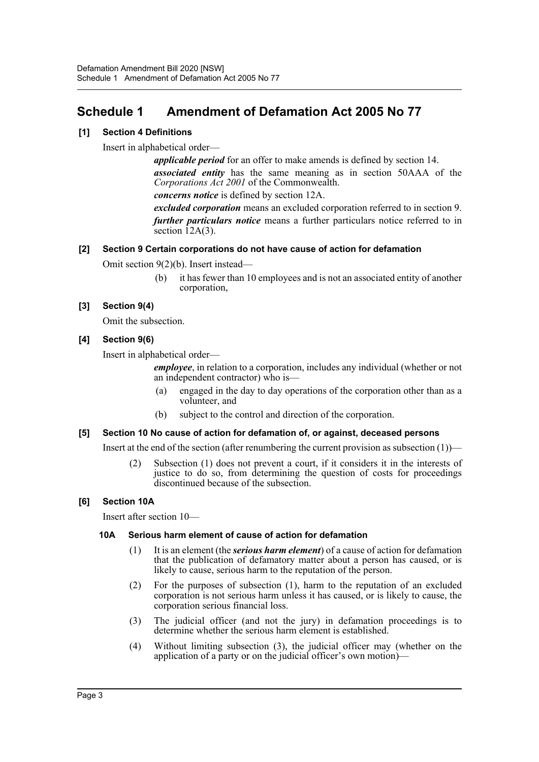# <span id="page-3-0"></span>**Schedule 1 Amendment of Defamation Act 2005 No 77**

# **[1] Section 4 Definitions**

Insert in alphabetical order—

*applicable period* for an offer to make amends is defined by section 14. *associated entity* has the same meaning as in section 50AAA of the *Corporations Act 2001* of the Commonwealth.

*concerns notice* is defined by section 12A.

*excluded corporation* means an excluded corporation referred to in section 9. *further particulars notice* means a further particulars notice referred to in section 12A(3).

# **[2] Section 9 Certain corporations do not have cause of action for defamation**

Omit section 9(2)(b). Insert instead—

(b) it has fewer than 10 employees and is not an associated entity of another corporation,

# **[3] Section 9(4)**

Omit the subsection.

# **[4] Section 9(6)**

Insert in alphabetical order—

*employee*, in relation to a corporation, includes any individual (whether or not an independent contractor) who is—

- (a) engaged in the day to day operations of the corporation other than as a volunteer, and
- (b) subject to the control and direction of the corporation.

# **[5] Section 10 No cause of action for defamation of, or against, deceased persons**

Insert at the end of the section (after renumbering the current provision as subsection  $(1)$ )—

(2) Subsection (1) does not prevent a court, if it considers it in the interests of justice to do so, from determining the question of costs for proceedings discontinued because of the subsection.

# **[6] Section 10A**

Insert after section 10—

# **10A Serious harm element of cause of action for defamation**

- (1) It is an element (the *serious harm element*) of a cause of action for defamation that the publication of defamatory matter about a person has caused, or is likely to cause, serious harm to the reputation of the person.
- (2) For the purposes of subsection (1), harm to the reputation of an excluded corporation is not serious harm unless it has caused, or is likely to cause, the corporation serious financial loss.
- (3) The judicial officer (and not the jury) in defamation proceedings is to determine whether the serious harm element is established.
- (4) Without limiting subsection (3), the judicial officer may (whether on the application of a party or on the judicial officer's own motion)—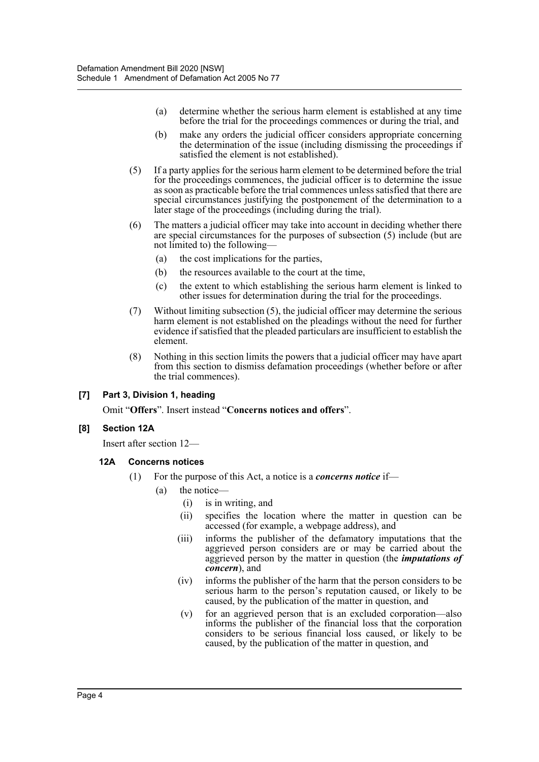- (a) determine whether the serious harm element is established at any time before the trial for the proceedings commences or during the trial, and
- (b) make any orders the judicial officer considers appropriate concerning the determination of the issue (including dismissing the proceedings if satisfied the element is not established).
- (5) If a party applies for the serious harm element to be determined before the trial for the proceedings commences, the judicial officer is to determine the issue as soon as practicable before the trial commences unless satisfied that there are special circumstances justifying the postponement of the determination to a later stage of the proceedings (including during the trial).
- (6) The matters a judicial officer may take into account in deciding whether there are special circumstances for the purposes of subsection (5) include (but are not limited to) the following—
	- (a) the cost implications for the parties,
	- (b) the resources available to the court at the time,
	- (c) the extent to which establishing the serious harm element is linked to other issues for determination during the trial for the proceedings.
- (7) Without limiting subsection (5), the judicial officer may determine the serious harm element is not established on the pleadings without the need for further evidence if satisfied that the pleaded particulars are insufficient to establish the element.
- (8) Nothing in this section limits the powers that a judicial officer may have apart from this section to dismiss defamation proceedings (whether before or after the trial commences).

#### **[7] Part 3, Division 1, heading**

Omit "**Offers**". Insert instead "**Concerns notices and offers**".

#### **[8] Section 12A**

Insert after section 12—

#### **12A Concerns notices**

- (1) For the purpose of this Act, a notice is a *concerns notice* if—
	- (a) the notice—
		- (i) is in writing, and
		- (ii) specifies the location where the matter in question can be accessed (for example, a webpage address), and
		- (iii) informs the publisher of the defamatory imputations that the aggrieved person considers are or may be carried about the aggrieved person by the matter in question (the *imputations of concern*), and
		- (iv) informs the publisher of the harm that the person considers to be serious harm to the person's reputation caused, or likely to be caused, by the publication of the matter in question, and
		- (v) for an aggrieved person that is an excluded corporation—also informs the publisher of the financial loss that the corporation considers to be serious financial loss caused, or likely to be caused, by the publication of the matter in question, and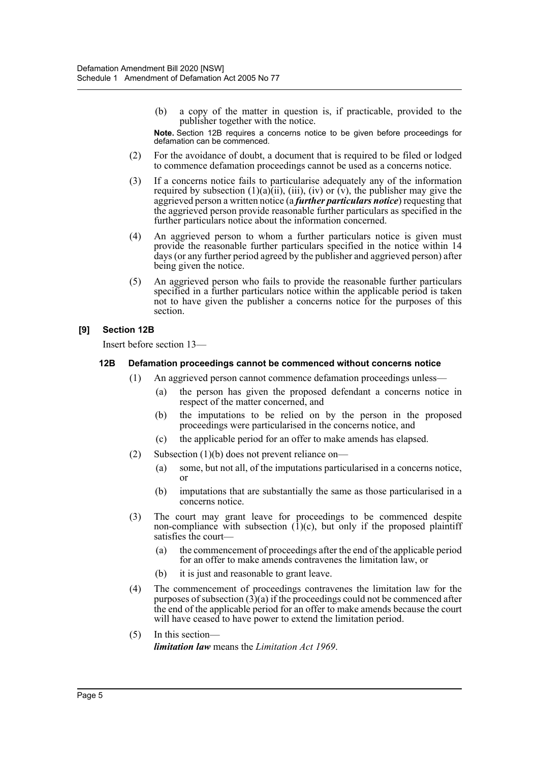(b) a copy of the matter in question is, if practicable, provided to the publisher together with the notice.

**Note.** Section 12B requires a concerns notice to be given before proceedings for defamation can be commenced.

- (2) For the avoidance of doubt, a document that is required to be filed or lodged to commence defamation proceedings cannot be used as a concerns notice.
- (3) If a concerns notice fails to particularise adequately any of the information required by subsection  $(1)(a)(ii)$ ,  $(iii)$ ,  $(iv)$  or  $(v)$ , the publisher may give the aggrieved person a written notice (a *further particulars notice*) requesting that the aggrieved person provide reasonable further particulars as specified in the further particulars notice about the information concerned.
- (4) An aggrieved person to whom a further particulars notice is given must provide the reasonable further particulars specified in the notice within 14 days (or any further period agreed by the publisher and aggrieved person) after being given the notice.
- (5) An aggrieved person who fails to provide the reasonable further particulars specified in a further particulars notice within the applicable period is taken not to have given the publisher a concerns notice for the purposes of this section.

#### **[9] Section 12B**

Insert before section 13—

#### **12B Defamation proceedings cannot be commenced without concerns notice**

- (1) An aggrieved person cannot commence defamation proceedings unless—
	- (a) the person has given the proposed defendant a concerns notice in respect of the matter concerned, and
		- (b) the imputations to be relied on by the person in the proposed proceedings were particularised in the concerns notice, and
		- (c) the applicable period for an offer to make amends has elapsed.
- (2) Subsection (1)(b) does not prevent reliance on—
	- (a) some, but not all, of the imputations particularised in a concerns notice, or
	- (b) imputations that are substantially the same as those particularised in a concerns notice.
- (3) The court may grant leave for proceedings to be commenced despite non-compliance with subsection  $(1)(c)$ , but only if the proposed plaintiff satisfies the court—
	- (a) the commencement of proceedings after the end of the applicable period for an offer to make amends contravenes the limitation law, or
	- (b) it is just and reasonable to grant leave.
- (4) The commencement of proceedings contravenes the limitation law for the purposes of subsection  $(3)(a)$  if the proceedings could not be commenced after the end of the applicable period for an offer to make amends because the court will have ceased to have power to extend the limitation period.
- (5) In this section *limitation law* means the *Limitation Act 1969*.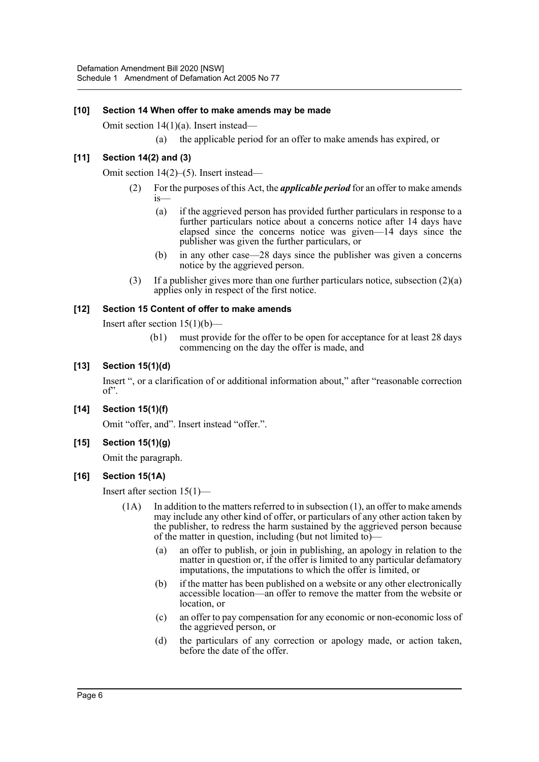# **[10] Section 14 When offer to make amends may be made**

Omit section 14(1)(a). Insert instead—

(a) the applicable period for an offer to make amends has expired, or

# **[11] Section 14(2) and (3)**

Omit section 14(2)–(5). Insert instead—

- (2) For the purposes of this Act, the *applicable period* for an offer to make amends is—
	- (a) if the aggrieved person has provided further particulars in response to a further particulars notice about a concerns notice after 14 days have elapsed since the concerns notice was given—14 days since the publisher was given the further particulars, or
	- (b) in any other case—28 days since the publisher was given a concerns notice by the aggrieved person.
- (3) If a publisher gives more than one further particulars notice, subsection  $(2)(a)$ applies only in respect of the first notice.

# **[12] Section 15 Content of offer to make amends**

Insert after section  $15(1)(b)$ —

(b1) must provide for the offer to be open for acceptance for at least 28 days commencing on the day the offer is made, and

# **[13] Section 15(1)(d)**

Insert ", or a clarification of or additional information about," after "reasonable correction of".

**[14] Section 15(1)(f)**

Omit "offer, and". Insert instead "offer.".

**[15] Section 15(1)(g)**

Omit the paragraph.

# **[16] Section 15(1A)**

Insert after section 15(1)—

- $(1)$  In addition to the matters referred to in subsection  $(1)$ , an offer to make amends may include any other kind of offer, or particulars of any other action taken by the publisher, to redress the harm sustained by the aggrieved person because of the matter in question, including (but not limited to)—
	- (a) an offer to publish, or join in publishing, an apology in relation to the matter in question or, if the offer is limited to any particular defamatory imputations, the imputations to which the offer is limited, or
	- (b) if the matter has been published on a website or any other electronically accessible location—an offer to remove the matter from the website or location, or
	- (c) an offer to pay compensation for any economic or non-economic loss of the aggrieved person, or
	- (d) the particulars of any correction or apology made, or action taken, before the date of the offer.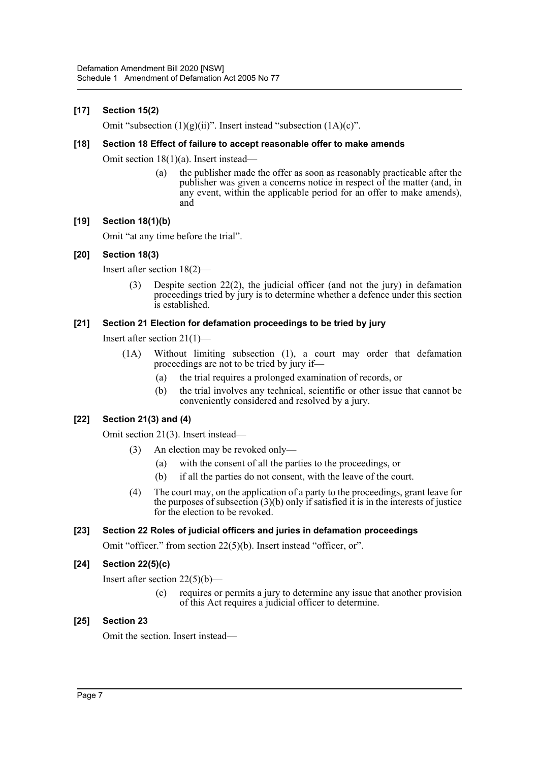# **[17] Section 15(2)**

Omit "subsection  $(1)(g)(ii)$ ". Insert instead "subsection  $(1A)(c)$ ".

#### **[18] Section 18 Effect of failure to accept reasonable offer to make amends**

Omit section 18(1)(a). Insert instead—

(a) the publisher made the offer as soon as reasonably practicable after the publisher was given a concerns notice in respect of the matter (and, in any event, within the applicable period for an offer to make amends), and

#### **[19] Section 18(1)(b)**

Omit "at any time before the trial".

#### **[20] Section 18(3)**

Insert after section 18(2)—

(3) Despite section 22(2), the judicial officer (and not the jury) in defamation proceedings tried by jury is to determine whether a defence under this section is established.

#### **[21] Section 21 Election for defamation proceedings to be tried by jury**

Insert after section 21(1)—

- (1A) Without limiting subsection (1), a court may order that defamation proceedings are not to be tried by jury if—
	- (a) the trial requires a prolonged examination of records, or
	- (b) the trial involves any technical, scientific or other issue that cannot be conveniently considered and resolved by a jury.

#### **[22] Section 21(3) and (4)**

Omit section 21(3). Insert instead—

- (3) An election may be revoked only—
	- (a) with the consent of all the parties to the proceedings, or
	- (b) if all the parties do not consent, with the leave of the court.
- (4) The court may, on the application of a party to the proceedings, grant leave for the purposes of subsection (3)(b) only if satisfied it is in the interests of justice for the election to be revoked.

# **[23] Section 22 Roles of judicial officers and juries in defamation proceedings**

Omit "officer." from section 22(5)(b). Insert instead "officer, or".

# **[24] Section 22(5)(c)**

Insert after section 22(5)(b)—

(c) requires or permits a jury to determine any issue that another provision of this Act requires a judicial officer to determine.

#### **[25] Section 23**

Omit the section. Insert instead—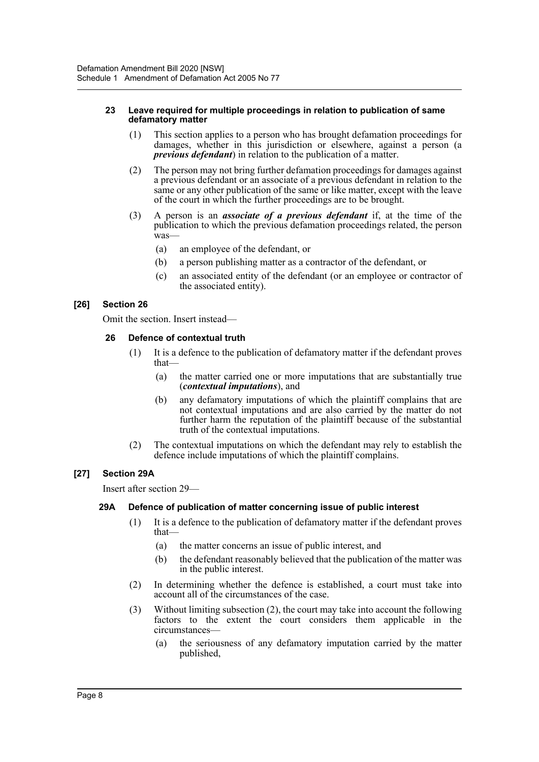#### **23 Leave required for multiple proceedings in relation to publication of same defamatory matter**

- (1) This section applies to a person who has brought defamation proceedings for damages, whether in this jurisdiction or elsewhere, against a person (a *previous defendant*) in relation to the publication of a matter.
- (2) The person may not bring further defamation proceedings for damages against a previous defendant or an associate of a previous defendant in relation to the same or any other publication of the same or like matter, except with the leave of the court in which the further proceedings are to be brought.
- (3) A person is an *associate of a previous defendant* if, at the time of the publication to which the previous defamation proceedings related, the person was—
	- (a) an employee of the defendant, or
	- (b) a person publishing matter as a contractor of the defendant, or
	- (c) an associated entity of the defendant (or an employee or contractor of the associated entity).

# **[26] Section 26**

Omit the section. Insert instead—

#### **26 Defence of contextual truth**

- (1) It is a defence to the publication of defamatory matter if the defendant proves that—
	- (a) the matter carried one or more imputations that are substantially true (*contextual imputations*), and
	- (b) any defamatory imputations of which the plaintiff complains that are not contextual imputations and are also carried by the matter do not further harm the reputation of the plaintiff because of the substantial truth of the contextual imputations.
- (2) The contextual imputations on which the defendant may rely to establish the defence include imputations of which the plaintiff complains.

#### **[27] Section 29A**

Insert after section 29—

#### **29A Defence of publication of matter concerning issue of public interest**

- (1) It is a defence to the publication of defamatory matter if the defendant proves that—
	- (a) the matter concerns an issue of public interest, and
	- (b) the defendant reasonably believed that the publication of the matter was in the public interest.
- (2) In determining whether the defence is established, a court must take into account all of the circumstances of the case.
- (3) Without limiting subsection (2), the court may take into account the following factors to the extent the court considers them applicable in the circumstances—
	- (a) the seriousness of any defamatory imputation carried by the matter published,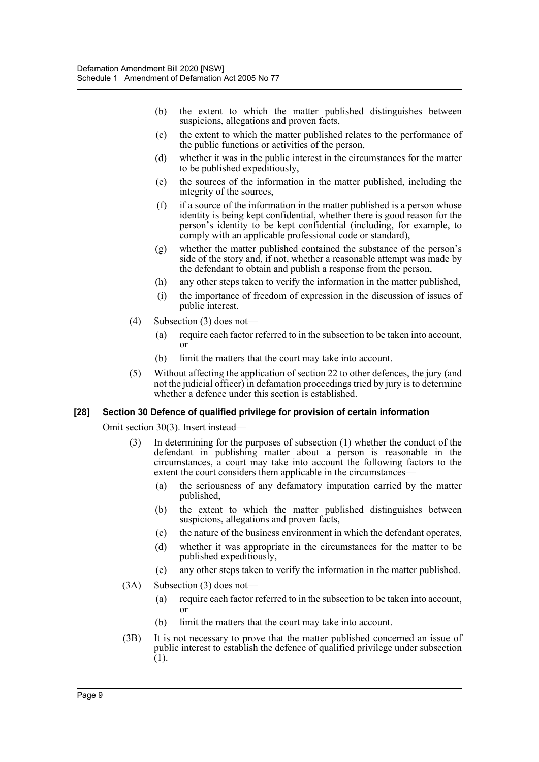- (b) the extent to which the matter published distinguishes between suspicions, allegations and proven facts,
- (c) the extent to which the matter published relates to the performance of the public functions or activities of the person,
- (d) whether it was in the public interest in the circumstances for the matter to be published expeditiously,
- (e) the sources of the information in the matter published, including the integrity of the sources,
- $(f)$  if a source of the information in the matter published is a person whose identity is being kept confidential, whether there is good reason for the person's identity to be kept confidential (including, for example, to comply with an applicable professional code or standard),
- (g) whether the matter published contained the substance of the person's side of the story and, if not, whether a reasonable attempt was made by the defendant to obtain and publish a response from the person,
- (h) any other steps taken to verify the information in the matter published,
- (i) the importance of freedom of expression in the discussion of issues of public interest.
- (4) Subsection (3) does not—
	- (a) require each factor referred to in the subsection to be taken into account, or
	- (b) limit the matters that the court may take into account.
- (5) Without affecting the application of section 22 to other defences, the jury (and not the judicial officer) in defamation proceedings tried by jury is to determine whether a defence under this section is established.

#### **[28] Section 30 Defence of qualified privilege for provision of certain information**

Omit section 30(3). Insert instead—

- (3) In determining for the purposes of subsection (1) whether the conduct of the defendant in publishing matter about a person is reasonable in the circumstances, a court may take into account the following factors to the extent the court considers them applicable in the circumstances—
	- (a) the seriousness of any defamatory imputation carried by the matter published,
	- (b) the extent to which the matter published distinguishes between suspicions, allegations and proven facts,
	- (c) the nature of the business environment in which the defendant operates,
	- (d) whether it was appropriate in the circumstances for the matter to be published expeditiously,
	- (e) any other steps taken to verify the information in the matter published.
- (3A) Subsection (3) does not—
	- (a) require each factor referred to in the subsection to be taken into account, or
	- (b) limit the matters that the court may take into account.
- (3B) It is not necessary to prove that the matter published concerned an issue of public interest to establish the defence of qualified privilege under subsection  $(1)$ .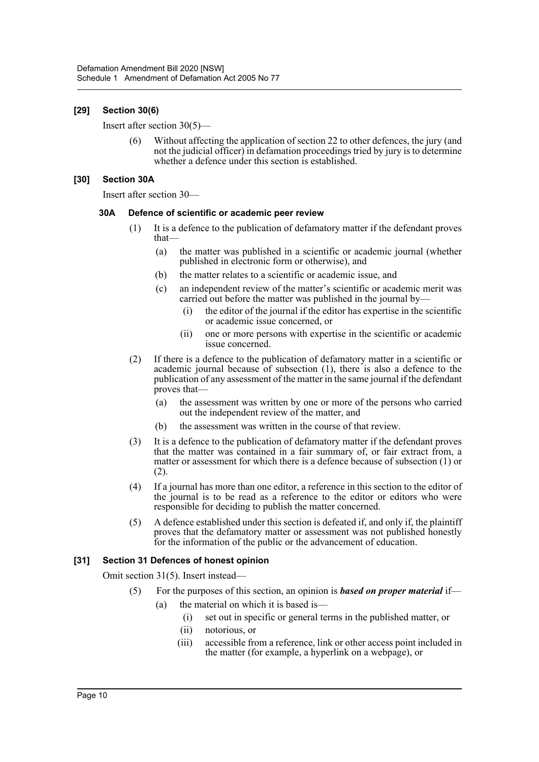#### **[29] Section 30(6)**

Insert after section 30(5)—

(6) Without affecting the application of section 22 to other defences, the jury (and not the judicial officer) in defamation proceedings tried by jury is to determine whether a defence under this section is established.

#### **[30] Section 30A**

Insert after section 30—

#### **30A Defence of scientific or academic peer review**

- (1) It is a defence to the publication of defamatory matter if the defendant proves that—
	- (a) the matter was published in a scientific or academic journal (whether published in electronic form or otherwise), and
	- (b) the matter relates to a scientific or academic issue, and
	- (c) an independent review of the matter's scientific or academic merit was carried out before the matter was published in the journal by—
		- (i) the editor of the journal if the editor has expertise in the scientific or academic issue concerned, or
		- (ii) one or more persons with expertise in the scientific or academic issue concerned.
- (2) If there is a defence to the publication of defamatory matter in a scientific or academic journal because of subsection (1), there is also a defence to the publication of any assessment of the matter in the same journal if the defendant proves that—
	- (a) the assessment was written by one or more of the persons who carried out the independent review of the matter, and
	- (b) the assessment was written in the course of that review.
- (3) It is a defence to the publication of defamatory matter if the defendant proves that the matter was contained in a fair summary of, or fair extract from, a matter or assessment for which there is a defence because of subsection (1) or (2).
- (4) If a journal has more than one editor, a reference in this section to the editor of the journal is to be read as a reference to the editor or editors who were responsible for deciding to publish the matter concerned.
- (5) A defence established under this section is defeated if, and only if, the plaintiff proves that the defamatory matter or assessment was not published honestly for the information of the public or the advancement of education.

# **[31] Section 31 Defences of honest opinion**

Omit section 31(5). Insert instead—

- (5) For the purposes of this section, an opinion is *based on proper material* if—
	- (a) the material on which it is based is—
		- (i) set out in specific or general terms in the published matter, or
		- (ii) notorious, or
		- (iii) accessible from a reference, link or other access point included in the matter (for example, a hyperlink on a webpage), or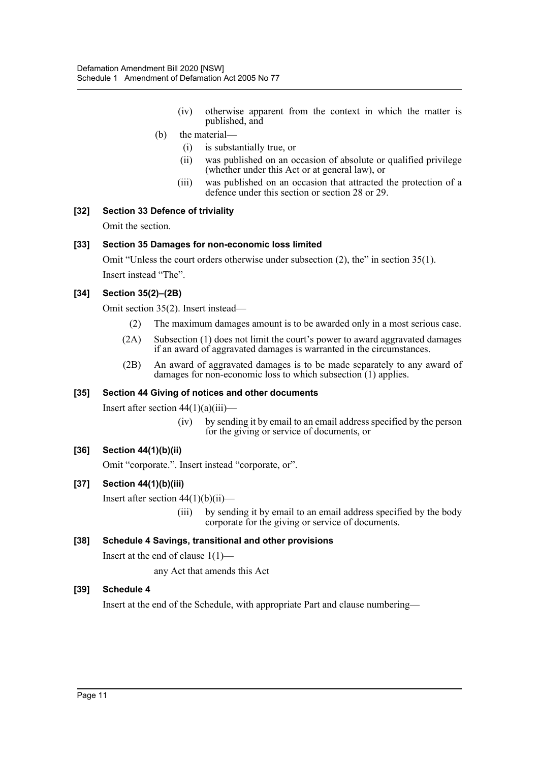- (iv) otherwise apparent from the context in which the matter is published, and
- (b) the material—
	- (i) is substantially true, or
	- (ii) was published on an occasion of absolute or qualified privilege (whether under this Act or at general law), or
	- (iii) was published on an occasion that attracted the protection of a defence under this section or section 28 or 29.

#### **[32] Section 33 Defence of triviality**

Omit the section.

#### **[33] Section 35 Damages for non-economic loss limited**

Omit "Unless the court orders otherwise under subsection (2), the" in section 35(1). Insert instead "The".

#### **[34] Section 35(2)–(2B)**

Omit section 35(2). Insert instead—

- (2) The maximum damages amount is to be awarded only in a most serious case.
- (2A) Subsection (1) does not limit the court's power to award aggravated damages if an award of aggravated damages is warranted in the circumstances.
- (2B) An award of aggravated damages is to be made separately to any award of damages for non-economic loss to which subsection (1) applies.

#### **[35] Section 44 Giving of notices and other documents**

Insert after section  $44(1)(a)(iii)$ —

(iv) by sending it by email to an email address specified by the person for the giving or service of documents, or

# **[36] Section 44(1)(b)(ii)**

Omit "corporate.". Insert instead "corporate, or".

# **[37] Section 44(1)(b)(iii)**

Insert after section  $44(1)(b)(ii)$ —

(iii) by sending it by email to an email address specified by the body corporate for the giving or service of documents.

#### **[38] Schedule 4 Savings, transitional and other provisions**

Insert at the end of clause  $1(1)$ —

any Act that amends this Act

#### **[39] Schedule 4**

Insert at the end of the Schedule, with appropriate Part and clause numbering—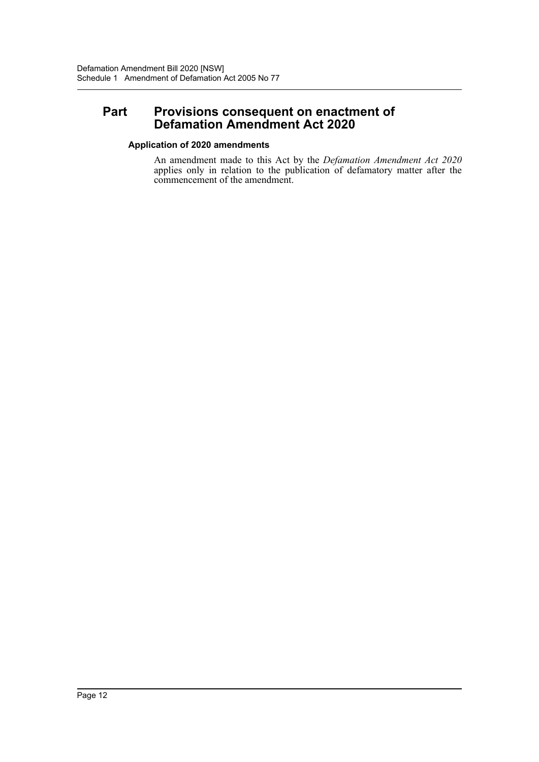# **Part Provisions consequent on enactment of Defamation Amendment Act 2020**

# **Application of 2020 amendments**

An amendment made to this Act by the *Defamation Amendment Act 2020* applies only in relation to the publication of defamatory matter after the commencement of the amendment.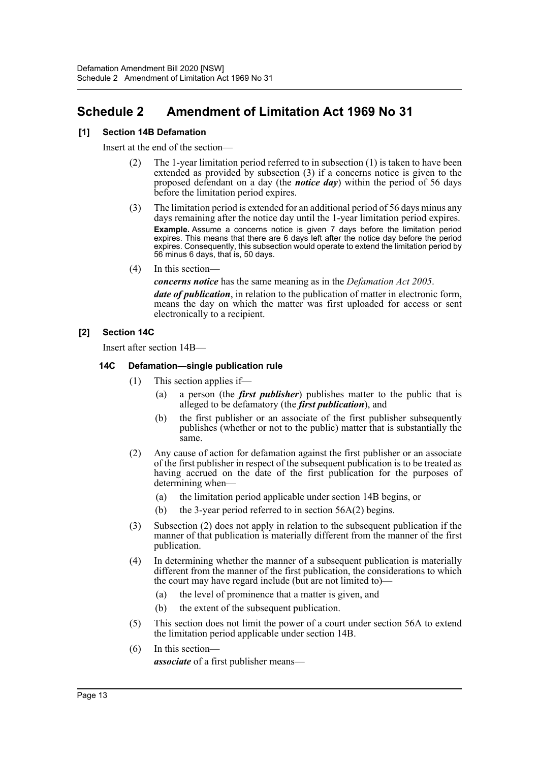# <span id="page-13-0"></span>**Schedule 2 Amendment of Limitation Act 1969 No 31**

#### **[1] Section 14B Defamation**

Insert at the end of the section—

- (2) The 1-year limitation period referred to in subsection (1) is taken to have been extended as provided by subsection (3) if a concerns notice is given to the proposed defendant on a day (the *notice day*) within the period of 56 days before the limitation period expires.
- (3) The limitation period is extended for an additional period of 56 days minus any days remaining after the notice day until the 1-year limitation period expires. **Example.** Assume a concerns notice is given 7 days before the limitation period expires. This means that there are 6 days left after the notice day before the period expires. Consequently, this subsection would operate to extend the limitation period by 56 minus 6 days, that is, 50 days.
- (4) In this section—

*concerns notice* has the same meaning as in the *Defamation Act 2005*.

*date of publication*, in relation to the publication of matter in electronic form, means the day on which the matter was first uploaded for access or sent electronically to a recipient.

# **[2] Section 14C**

Insert after section 14B—

#### **14C Defamation—single publication rule**

- (1) This section applies if—
	- (a) a person (the *first publisher*) publishes matter to the public that is alleged to be defamatory (the *first publication*), and
	- (b) the first publisher or an associate of the first publisher subsequently publishes (whether or not to the public) matter that is substantially the same.
- (2) Any cause of action for defamation against the first publisher or an associate of the first publisher in respect of the subsequent publication is to be treated as having accrued on the date of the first publication for the purposes of determining when—
	- (a) the limitation period applicable under section 14B begins, or
	- (b) the 3-year period referred to in section 56A(2) begins.
- (3) Subsection (2) does not apply in relation to the subsequent publication if the manner of that publication is materially different from the manner of the first publication.
- (4) In determining whether the manner of a subsequent publication is materially different from the manner of the first publication, the considerations to which the court may have regard include (but are not limited to)—
	- (a) the level of prominence that a matter is given, and
	- (b) the extent of the subsequent publication.
- (5) This section does not limit the power of a court under section 56A to extend the limitation period applicable under section 14B.
- (6) In this section *associate* of a first publisher means—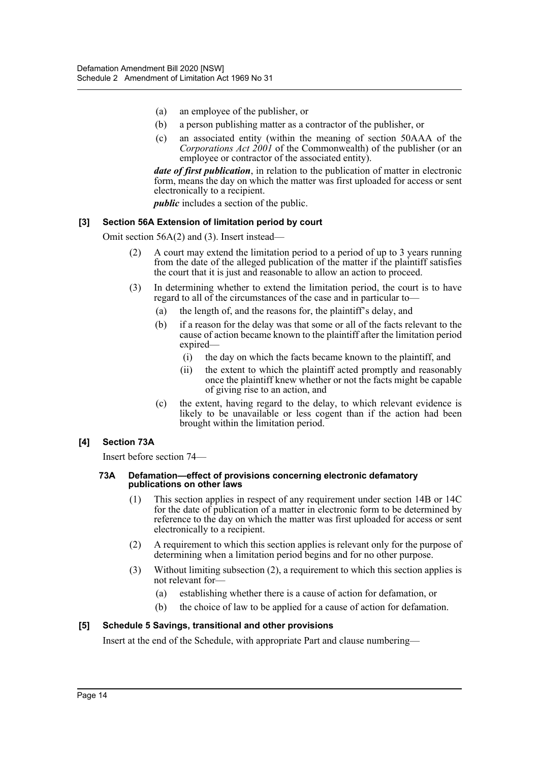- (a) an employee of the publisher, or
- (b) a person publishing matter as a contractor of the publisher, or
- (c) an associated entity (within the meaning of section 50AAA of the *Corporations Act 2001* of the Commonwealth) of the publisher (or an employee or contractor of the associated entity).

*date of first publication*, in relation to the publication of matter in electronic form, means the day on which the matter was first uploaded for access or sent electronically to a recipient.

*public* includes a section of the public.

#### **[3] Section 56A Extension of limitation period by court**

Omit section 56A(2) and (3). Insert instead—

- (2) A court may extend the limitation period to a period of up to 3 years running from the date of the alleged publication of the matter if the plaintiff satisfies the court that it is just and reasonable to allow an action to proceed.
- (3) In determining whether to extend the limitation period, the court is to have regard to all of the circumstances of the case and in particular to—
	- (a) the length of, and the reasons for, the plaintiff's delay, and
	- (b) if a reason for the delay was that some or all of the facts relevant to the cause of action became known to the plaintiff after the limitation period expired—
		- (i) the day on which the facts became known to the plaintiff, and
		- (ii) the extent to which the plaintiff acted promptly and reasonably once the plaintiff knew whether or not the facts might be capable of giving rise to an action, and
	- (c) the extent, having regard to the delay, to which relevant evidence is likely to be unavailable or less cogent than if the action had been brought within the limitation period.

#### **[4] Section 73A**

Insert before section 74—

#### **73A Defamation—effect of provisions concerning electronic defamatory publications on other laws**

- (1) This section applies in respect of any requirement under section 14B or 14C for the date of publication of a matter in electronic form to be determined by reference to the day on which the matter was first uploaded for access or sent electronically to a recipient.
- (2) A requirement to which this section applies is relevant only for the purpose of determining when a limitation period begins and for no other purpose.
- (3) Without limiting subsection (2), a requirement to which this section applies is not relevant for—
	- (a) establishing whether there is a cause of action for defamation, or
	- (b) the choice of law to be applied for a cause of action for defamation.

#### **[5] Schedule 5 Savings, transitional and other provisions**

Insert at the end of the Schedule, with appropriate Part and clause numbering—